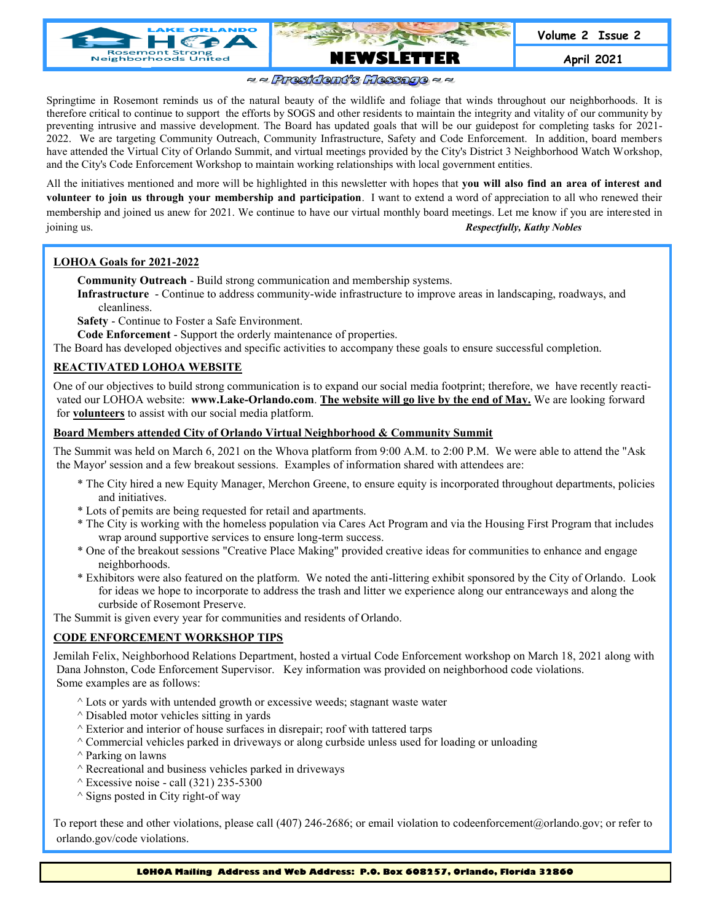

### $\approx$   $\approx$  President's Message  $\approx$   $\approx$

Springtime in Rosemont reminds us of the natural beauty of the wildlife and foliage that winds throughout our neighborhoods. It is therefore critical to continue to support the efforts by SOGS and other residents to maintain the integrity and vitality of our community by preventing intrusive and massive development. The Board has updated goals that will be our guidepost for completing tasks for 2021- 2022. We are targeting Community Outreach, Community Infrastructure, Safety and Code Enforcement. In addition, board members have attended the Virtual City of Orlando Summit, and virtual meetings provided by the City's District 3 Neighborhood Watch Workshop, and the City's Code Enforcement Workshop to maintain working relationships with local government entities.

All the initiatives mentioned and more will be highlighted in this newsletter with hopes that **you will also find an area of interest and volunteer to join us through your membership and participation**. I want to extend a word of appreciation to all who renewed their membership and joined us anew for 2021. We continue to have our virtual monthly board meetings. Let me know if you are interested in joining us. *Respectfully, Kathy Nobles*

#### **LOHOA Goals for 2021-2022**

**Community Outreach** - Build strong communication and membership systems.

**Infrastructure** - Continue to address community-wide infrastructure to improve areas in landscaping, roadways, and cleanliness.

**Safety** - Continue to Foster a Safe Environment.

**Code Enforcement** - Support the orderly maintenance of properties.

The Board has developed objectives and specific activities to accompany these goals to ensure successful completion.

### **REACTIVATED LOHOA WEBSITE**

One of our objectives to build strong communication is to expand our social media footprint; therefore, we have recently reactivated our LOHOA website: **www.Lake-Orlando.com**. **The website will go live by the end of May.** We are looking forward for **volunteers** to assist with our social media platform.

#### **Board Members attended City of Orlando Virtual Neighborhood & Community Summit**

The Summit was held on March 6, 2021 on the Whova platform from 9:00 A.M. to 2:00 P.M. We were able to attend the "Ask the Mayor' session and a few breakout sessions. Examples of information shared with attendees are:

- \* The City hired a new Equity Manager, Merchon Greene, to ensure equity is incorporated throughout departments, policies and initiatives.
- \* Lots of pemits are being requested for retail and apartments.
- \* The City is working with the homeless population via Cares Act Program and via the Housing First Program that includes wrap around supportive services to ensure long-term success.
- \* One of the breakout sessions "Creative Place Making" provided creative ideas for communities to enhance and engage neighborhoods.
- \* Exhibitors were also featured on the platform. We noted the anti-littering exhibit sponsored by the City of Orlando. Look for ideas we hope to incorporate to address the trash and litter we experience along our entranceways and along the curbside of Rosemont Preserve.

The Summit is given every year for communities and residents of Orlando.

#### **CODE ENFORCEMENT WORKSHOP TIPS**

Jemilah Felix, Neighborhood Relations Department, hosted a virtual Code Enforcement workshop on March 18, 2021 along with Dana Johnston, Code Enforcement Supervisor. Key information was provided on neighborhood code violations. Some examples are as follows:

- $^{\wedge}$  Lots or yards with untended growth or excessive weeds; stagnant waste water
- $\land$  Disabled motor vehicles sitting in yards
- $^{\wedge}$  Exterior and interior of house surfaces in disrepair; roof with tattered tarps
- $^{\wedge}$  Commercial vehicles parked in driveways or along curbside unless used for loading or unloading
- ^ Parking on lawns
- $\land$  Recreational and business vehicles parked in driveways
- $\wedge$  Excessive noise call (321) 235-5300
- $\wedge$  Signs posted in City right-of way

To report these and other violations, please call (407) 246-2686; or email violation to codeenforcement@orlando.gov; or refer to orlando.gov/code violations.

**LOHOA Mailing Address and Web Address: P.O. Box 608257, Orlando, Florida 32860**